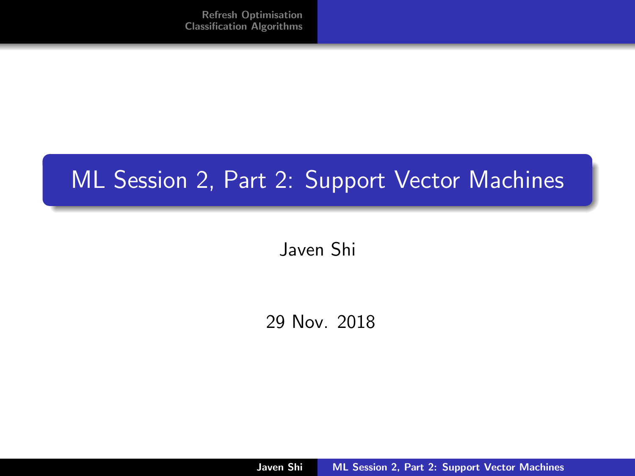# <span id="page-0-0"></span>ML Session 2, Part 2: Support Vector Machines

Javen Shi

29 Nov. 2018

Javen Shi [ML Session 2, Part 2: Support Vector Machines](#page-35-0)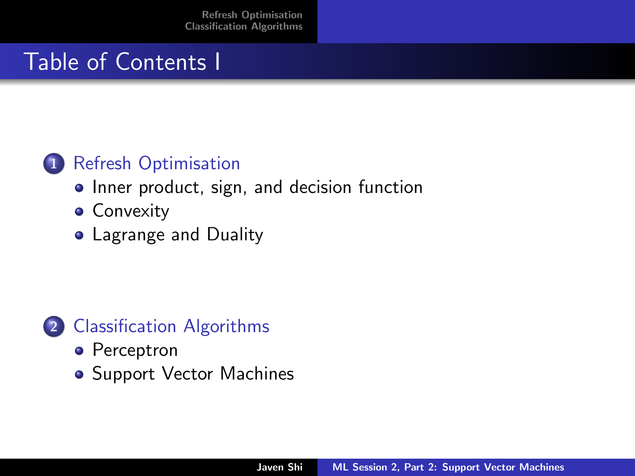## Table of Contents I

#### 1 [Refresh Optimisation](#page-2-0)

- [Inner product, sign, and decision function](#page-2-0)
- **[Convexity](#page-13-0)**
- [Lagrange and Duality](#page-14-0)



- [Perceptron](#page-19-0)
- [Support Vector Machines](#page-21-0)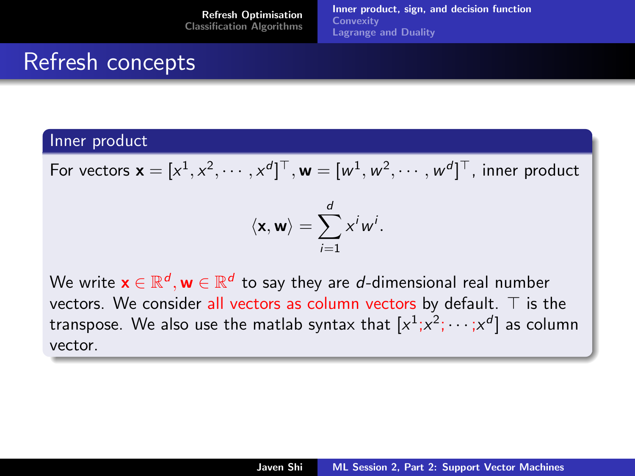## <span id="page-2-0"></span>Refresh concepts

#### Inner product

For vectors  $\mathbf{x} = [x^1, x^2, \cdots, x^d]^\top, \mathbf{w} = [w^1, w^2, \cdots, w^d]^\top$ , inner product

$$
\langle \mathbf{x}, \mathbf{w} \rangle = \sum_{i=1}^d x^i w^i.
$$

We write  $\mathsf{x} \in \mathbb{R}^d, \mathsf{w} \in \mathbb{R}^d$  to say they are  $d$ -dimensional real number vectors. We consider all vectors as column vectors by default.  $\top$  is the transpose. We also use the matlab syntax that  $[x^1;x^2;\cdots;x^d]$  as column vector.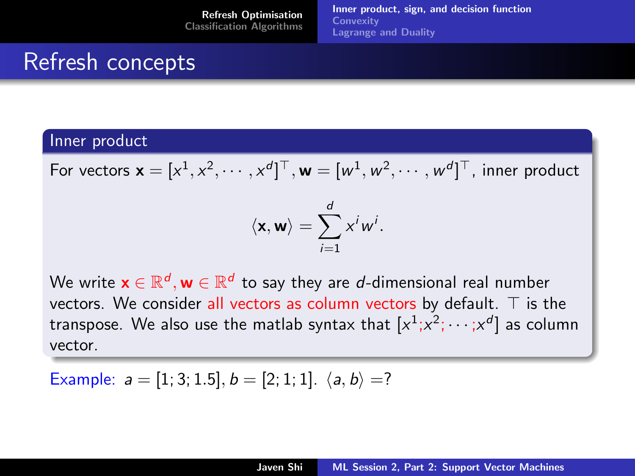## Refresh concepts

#### Inner product

For vectors  $\mathbf{x} = [x^1, x^2, \cdots, x^d]^\top, \mathbf{w} = [w^1, w^2, \cdots, w^d]^\top$ , inner product

$$
\langle \mathbf{x}, \mathbf{w} \rangle = \sum_{i=1}^d x^i w^i.
$$

We write  $\mathsf{x} \in \mathbb{R}^d, \mathsf{w} \in \mathbb{R}^d$  to say they are  $d$ -dimensional real number vectors. We consider all vectors as column vectors by default.  $\top$  is the transpose. We also use the matlab syntax that  $[x^1;x^2;\cdots;x^d]$  as column vector.

Example:  $a = [1; 3; 1.5], b = [2; 1; 1], \langle a, b \rangle =?$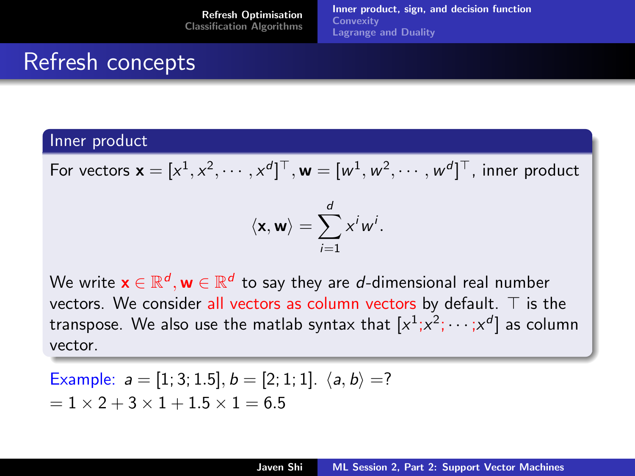## <span id="page-4-0"></span>Refresh concepts

#### Inner product

For vectors  $\mathbf{x} = [x^1, x^2, \cdots, x^d]^\top, \mathbf{w} = [w^1, w^2, \cdots, w^d]^\top$ , inner product

$$
\langle \mathbf{x}, \mathbf{w} \rangle = \sum_{i=1}^d x^i w^i.
$$

We write  $\mathsf{x} \in \mathbb{R}^d, \mathsf{w} \in \mathbb{R}^d$  to say they are  $d$ -dimensional real number vectors. We consider all vectors as column vectors by default.  $\top$  is the transpose. We also use the matlab syntax that  $[x^1;x^2;\cdots;x^d]$  as column vector.

Example: 
$$
a = [1; 3; 1.5], b = [2; 1; 1]. \langle a, b \rangle = ?
$$
  
=  $1 \times 2 + 3 \times 1 + 1.5 \times 1 = 6.5$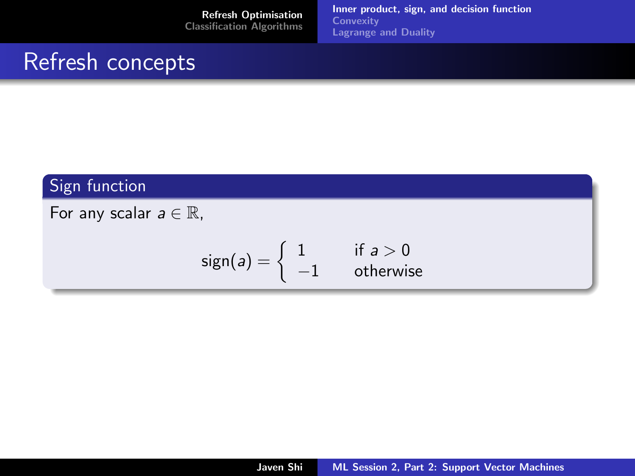[Inner product, sign, and decision function](#page-2-0) **[Convexity](#page-13-0)** [Lagrange and Duality](#page-14-0)

### Refresh concepts

#### Sign function

For any scalar  $a \in \mathbb{R}$ ,

$$
sign(a) = \begin{cases} 1 & \text{if } a > 0 \\ -1 & \text{otherwise} \end{cases}
$$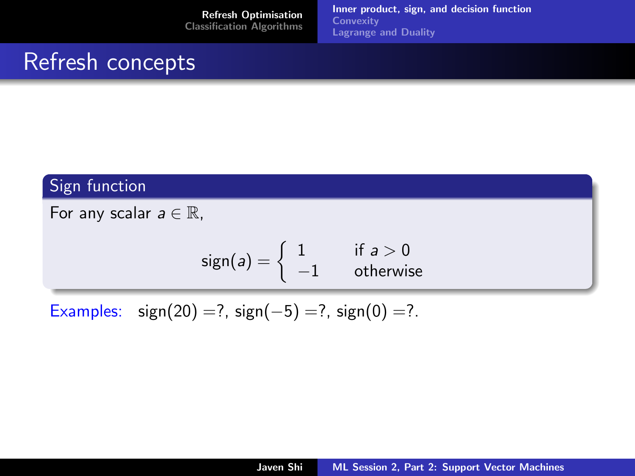[Inner product, sign, and decision function](#page-2-0) **[Convexity](#page-13-0)** [Lagrange and Duality](#page-14-0)

### Refresh concepts

#### Sign function

For any scalar  $a \in \mathbb{R}$ ,

$$
sign(a) = \begin{cases} 1 & \text{if } a > 0 \\ -1 & \text{otherwise} \end{cases}
$$

Examples: sign(20) =?, sign(-5) =?, sign(0) =?.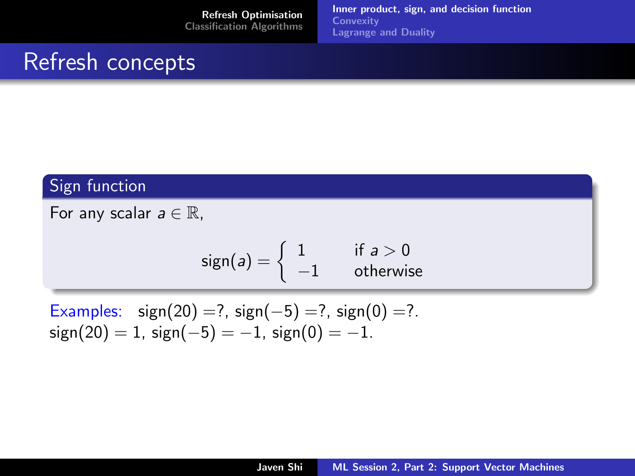[Inner product, sign, and decision function](#page-2-0) **[Convexity](#page-13-0)** [Lagrange and Duality](#page-14-0)

#### Refresh concepts

#### Sign function

For any scalar  $a \in \mathbb{R}$ ,

$$
sign(a) = \begin{cases} 1 & \text{if } a > 0\\ -1 & \text{otherwise} \end{cases}
$$

Examples: 
$$
sign(20) = ?
$$
,  $sign(-5) = ?$ ,  $sign(0) = ?$ .  
\n $sign(20) = 1$ ,  $sign(-5) = -1$ ,  $sign(0) = -1$ .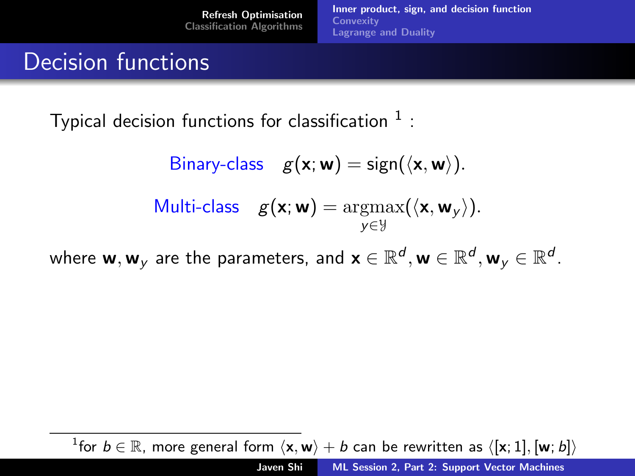[Inner product, sign, and decision function](#page-2-0) **[Convexity](#page-13-0)** [Lagrange and Duality](#page-14-0)

### Decision functions

Typical decision functions for classification  $^1$  :

Binary-class 
$$
g(\mathbf{x}; \mathbf{w}) = \text{sign}(\langle \mathbf{x}, \mathbf{w} \rangle)
$$
.  
Multi-class  $g(\mathbf{x}; \mathbf{w}) = \underset{y \in \mathcal{Y}}{\text{argmax}}(\langle \mathbf{x}, \mathbf{w}_y \rangle)$ .

where  ${\sf w},{\sf w}_y$  are the parameters, and  ${\sf x}\in\mathbb{R}^d,{\sf w}\in\mathbb{R}^d,{\sf w}_y\in\mathbb{R}^d$ .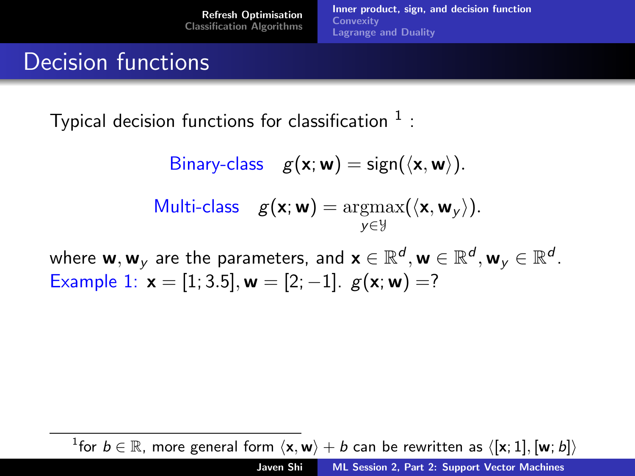[Inner product, sign, and decision function](#page-2-0) **[Convexity](#page-13-0)** [Lagrange and Duality](#page-14-0)

#### Decision functions

Typical decision functions for classification  $^1$  :

Binary-class 
$$
g(\mathbf{x}; \mathbf{w}) = \text{sign}(\langle \mathbf{x}, \mathbf{w} \rangle)
$$
.  
Multi-class  $g(\mathbf{x}; \mathbf{w}) = \underset{\mathbf{y} \in \mathcal{Y}}{\text{argmax}}(\langle \mathbf{x}, \mathbf{w}_{\mathbf{y}} \rangle)$ .

where  ${\sf w},{\sf w}_y$  are the parameters, and  ${\sf x}\in\mathbb{R}^d,{\sf w}\in\mathbb{R}^d,{\sf w}_y\in\mathbb{R}^d$ . Example 1:  $x = [1; 3.5]$ ,  $w = [2; -1]$ .  $g(x; w) = ?$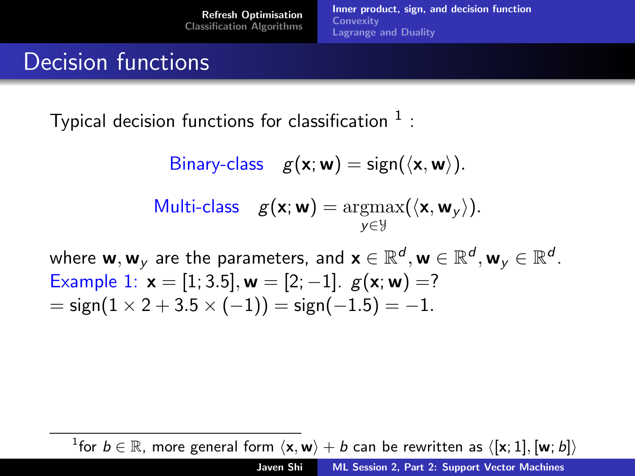[Inner product, sign, and decision function](#page-2-0) **[Convexity](#page-13-0)** [Lagrange and Duality](#page-14-0)

### Decision functions

Typical decision functions for classification  $^1$  :

Binary-class 
$$
g(\mathbf{x}; \mathbf{w}) = \text{sign}(\langle \mathbf{x}, \mathbf{w} \rangle)
$$
.  
Multi-class  $g(\mathbf{x}; \mathbf{w}) = \underset{y \in \mathcal{Y}}{\text{argmax}}(\langle \mathbf{x}, \mathbf{w}_y \rangle)$ .

where  ${\sf w},{\sf w}_y$  are the parameters, and  ${\sf x}\in\mathbb{R}^d,{\sf w}\in\mathbb{R}^d,{\sf w}_y\in\mathbb{R}^d$ . Example 1:  $x = [1; 3.5], w = [2; -1].$   $g(x; w) = ?$  $=$  sign(1  $\times$  2 + 3.5  $\times$  (-1)) = sign(-1.5) = -1.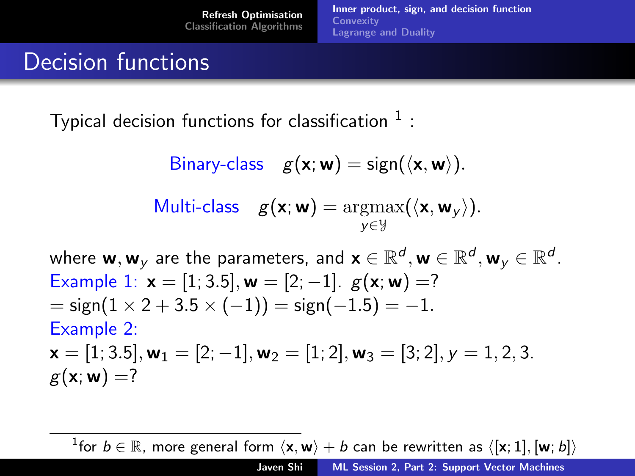[Inner product, sign, and decision function](#page-2-0) **[Convexity](#page-13-0)** [Lagrange and Duality](#page-14-0)

#### Decision functions

Typical decision functions for classification  $^1$  :

Binary-class 
$$
g(\mathbf{x}; \mathbf{w}) = \text{sign}(\langle \mathbf{x}, \mathbf{w} \rangle)
$$
.  
Multi-class  $g(\mathbf{x}; \mathbf{w}) = \underset{\mathbf{y} \in \mathcal{Y}}{\text{argmax}}(\langle \mathbf{x}, \mathbf{w}_{\mathbf{y}} \rangle)$ .

where  ${\sf w},{\sf w}_y$  are the parameters, and  ${\sf x}\in\mathbb{R}^d,{\sf w}\in\mathbb{R}^d,{\sf w}_y\in\mathbb{R}^d$ . Example 1:  $x = [1, 3.5]$ ,  $w = [2, -1]$ .  $g(x; w) =$ ?  $=$  sign(1  $\times$  2 + 3.5  $\times$  (-1)) = sign(-1.5) = -1. Example 2:  $\mathbf{x} = [1; 3.5], \mathbf{w}_1 = [2; -1], \mathbf{w}_2 = [1; 2], \mathbf{w}_3 = [3; 2], \mathbf{v} = 1, 2, 3.$  $g(\mathbf{x}; \mathbf{w}) = ?$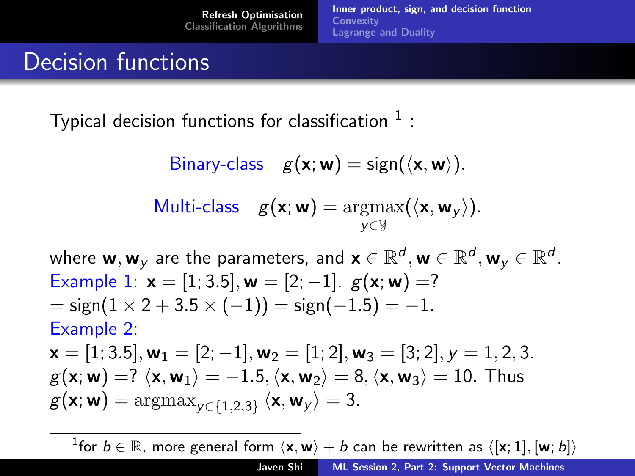[Inner product, sign, and decision function](#page-2-0) **[Convexity](#page-13-0)** [Lagrange and Duality](#page-14-0)

### Decision functions

Typical decision functions for classification  $^1$  :

Binary-class 
$$
g(\mathbf{x}; \mathbf{w}) = \text{sign}(\langle \mathbf{x}, \mathbf{w} \rangle)
$$
.  
Multi-class  $g(\mathbf{x}; \mathbf{w}) = \underset{\mathbf{y} \in \mathcal{Y}}{\text{argmax}}(\langle \mathbf{x}, \mathbf{w}_{\mathbf{y}} \rangle)$ .

where  ${\sf w},{\sf w}_y$  are the parameters, and  ${\sf x}\in\mathbb{R}^d,{\sf w}\in\mathbb{R}^d,{\sf w}_y\in\mathbb{R}^d$ . Example 1:  $x = [1, 3.5]$ ,  $w = [2, -1]$ .  $g(x; w) =$ ?  $=$  sign(1  $\times$  2 + 3.5  $\times$  (-1)) = sign(-1.5) = -1. Example 2:  $\mathbf{x} = [1; 3.5], \mathbf{w}_1 = [2; -1], \mathbf{w}_2 = [1; 2], \mathbf{w}_3 = [3; 2], \mathbf{v} = 1, 2, 3.$  $g(\mathbf{x}; \mathbf{w}) = ? \langle \mathbf{x}, \mathbf{w}_1 \rangle = -1.5, \langle \mathbf{x}, \mathbf{w}_2 \rangle = 8, \langle \mathbf{x}, \mathbf{w}_3 \rangle = 10.$  Thus  $g(\mathsf{x}; \mathsf{w}) = \mathrm{argmax}_{\mathsf{y} \in \{1,2,3\}} \left\langle \mathsf{x}, \mathsf{w}_{\mathsf{y}} \right\rangle = 3.$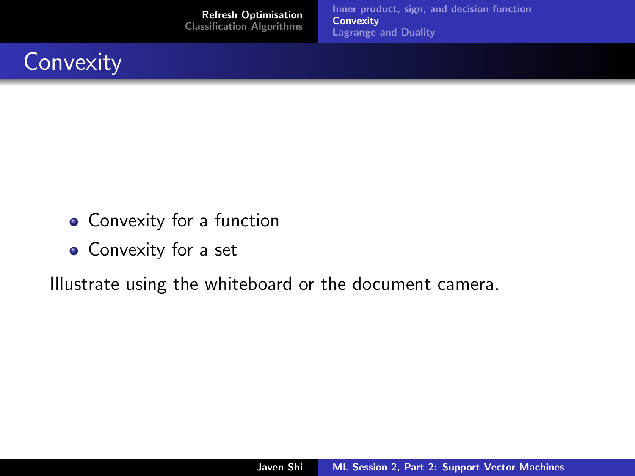[Inner product, sign, and decision function](#page-2-0) **[Convexity](#page-13-0)** [Lagrange and Duality](#page-14-0)

<span id="page-13-0"></span>

- Convexity for a function
- Convexity for a set

Illustrate using the whiteboard or the document camera.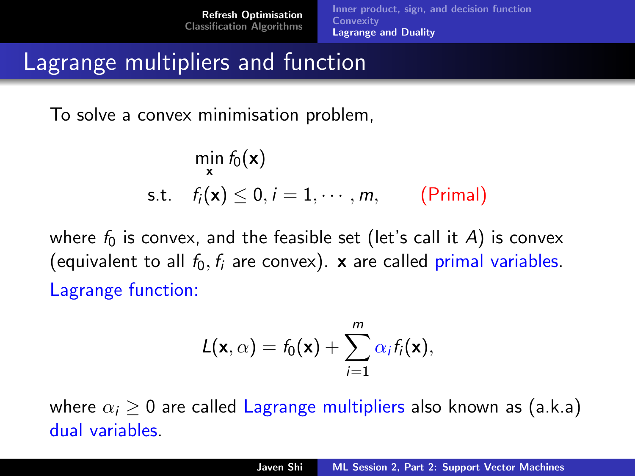## <span id="page-14-0"></span>Lagrange multipliers and function

To solve a convex minimisation problem,

$$
\min_{\mathbf{x}} f_0(\mathbf{x})
$$
  
s.t.  $f_i(\mathbf{x}) \le 0, i = 1, \dots, m,$  (Primal)

where  $f_0$  is convex, and the feasible set (let's call it A) is convex (equivalent to all  $f_0, f_i$  are convex). **x** are called primal variables. Lagrange function:

$$
L(\mathbf{x},\alpha)=f_0(\mathbf{x})+\sum_{i=1}^m \alpha_i f_i(\mathbf{x}),
$$

where  $\alpha_i \geq 0$  are called Lagrange multipliers also known as (a.k.a) dual variables.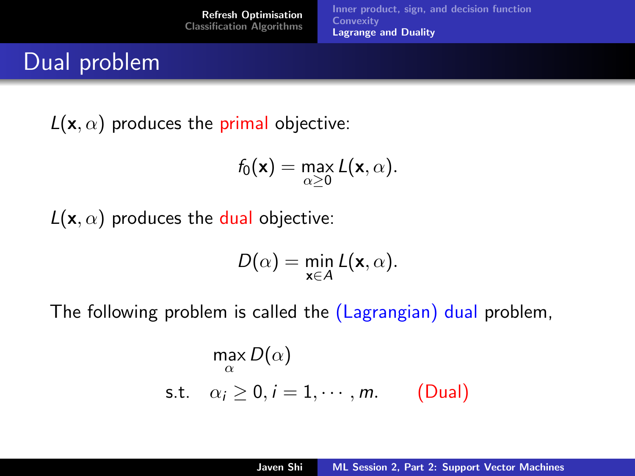[Refresh Optimisation](#page-2-0) [Classification Algorithms](#page-19-0) [Inner product, sign, and decision function](#page-2-0) **[Convexity](#page-13-0)** [Lagrange and Duality](#page-14-0)

#### Dual problem

 $L(\mathbf{x}, \alpha)$  produces the primal objective:

$$
f_0(\mathbf{x}) = \max_{\alpha \geq 0} L(\mathbf{x}, \alpha).
$$

 $L(\mathbf{x}, \alpha)$  produces the dual objective:

$$
D(\alpha) = \min_{\mathbf{x} \in A} L(\mathbf{x}, \alpha).
$$

The following problem is called the (Lagrangian) dual problem,

$$
\max_{\alpha} D(\alpha)
$$
  
s.t.  $\alpha_i \ge 0, i = 1, \dots, m.$  (Dual)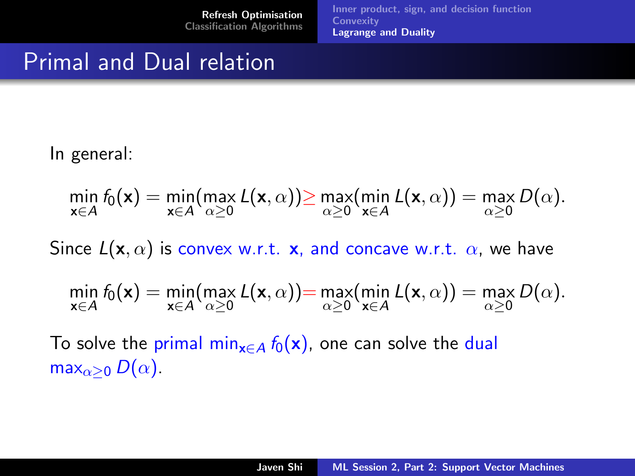# Primal and Dual relation

In general:

$$
\min_{\mathbf{x}\in A} f_0(\mathbf{x}) = \min_{\mathbf{x}\in A} (\max_{\alpha\geq 0} L(\mathbf{x}, \alpha)) \geq \max_{\alpha\geq 0} (\min_{\mathbf{x}\in A} L(\mathbf{x}, \alpha)) = \max_{\alpha\geq 0} D(\alpha).
$$

Since  $L(\mathbf{x}, \alpha)$  is convex w.r.t. **x**, and concave w.r.t.  $\alpha$ , we have

$$
\min_{\mathbf{x}\in A} f_0(\mathbf{x}) = \min_{\mathbf{x}\in A} (\max_{\alpha\geq 0} L(\mathbf{x}, \alpha)) = \max_{\alpha\geq 0} (\min_{\mathbf{x}\in A} L(\mathbf{x}, \alpha)) = \max_{\alpha\geq 0} D(\alpha).
$$

To solve the primal min<sub>x∈A</sub>  $f_0(x)$ , one can solve the dual max $_{\alpha>0}$  D( $\alpha$ ).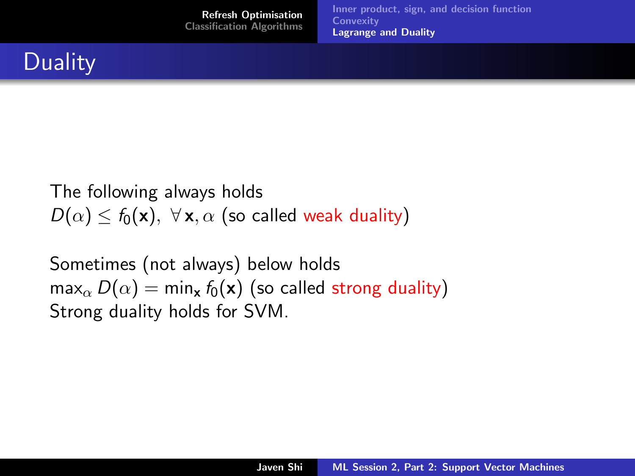

The following always holds  $D(\alpha) \le f_0(\mathbf{x}), \ \forall \mathbf{x}, \alpha$  (so called weak duality)

Sometimes (not always) below holds  $max_{\alpha} D(\alpha) = min_{\mathbf{x}} f_0(\mathbf{x})$  (so called strong duality) Strong duality holds for SVM.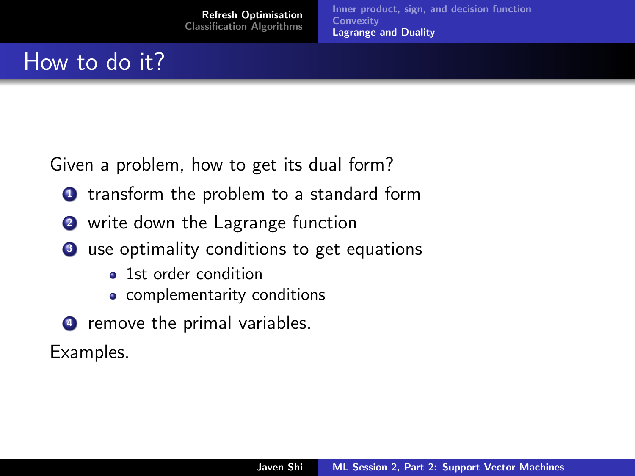# How to do it?

Given a problem, how to get its dual form?

- **1** transform the problem to a standard form
- **2** write down the Lagrange function
- **3** use optimality conditions to get equations
	- 1st order condition
	- complementarity conditions
- <sup>4</sup> remove the primal variables.

Examples.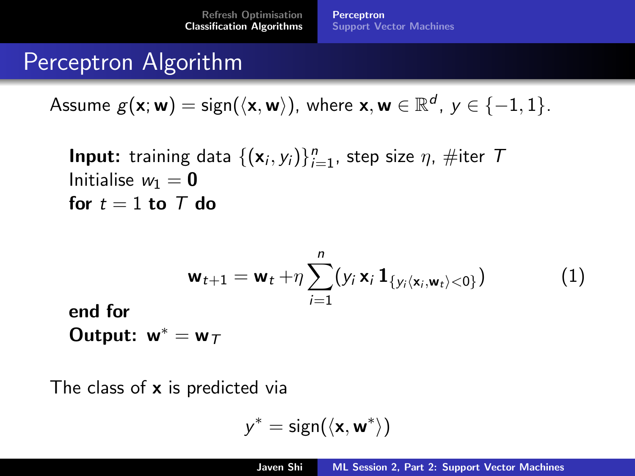## <span id="page-19-0"></span>Perceptron Algorithm

Assume  $g(\mathsf{x};\mathsf{w}) = \mathsf{sign}(\langle \mathsf{x}, \mathsf{w} \rangle)$ , where  $\mathsf{x}, \mathsf{w} \in \mathbb{R}^d$ ,  $\mathsf{y} \in \{-1,1\}.$ 

**Input:** training data 
$$
\{(\mathbf{x}_i, y_i)\}_{i=1}^n
$$
, step size  $\eta$ ,  $\#$ iter  $\top$   
Initialise  $w_1 = \mathbf{0}$   
for  $t = 1$  to  $\top$  do

$$
\mathbf{w}_{t+1} = \mathbf{w}_t + \eta \sum_{i=1}^n (y_i \mathbf{x}_i \mathbf{1}_{\{y_i \langle \mathbf{x}_i, \mathbf{w}_t \rangle < 0\}})
$$
(1)

end for Output:  $w^* = w_T$ 

The class of  $x$  is predicted via

<span id="page-19-1"></span>
$$
y^* = \text{sign}(\langle \mathbf{x}, \mathbf{w}^* \rangle)
$$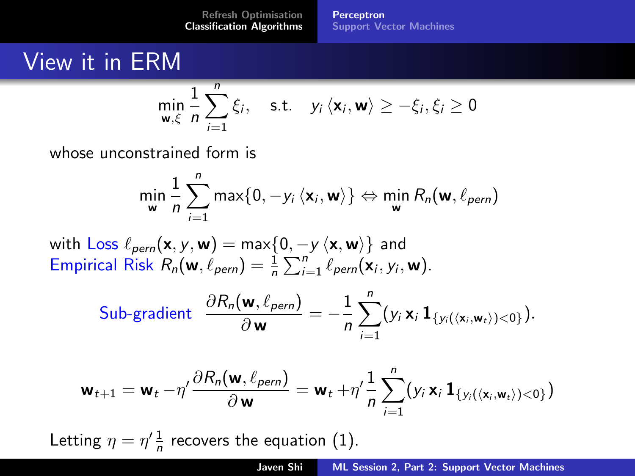**[Perceptron](#page-19-0)** [Support Vector Machines](#page-21-0)

## View it in ERM

$$
\min_{\mathbf{w}, \xi} \frac{1}{n} \sum_{i=1}^{n} \xi_i, \quad \text{s.t.} \quad y_i \langle \mathbf{x}_i, \mathbf{w} \rangle \ge -\xi_i, \xi_i \ge 0
$$

whose unconstrained form is

$$
\min_{\mathbf{w}} \frac{1}{n} \sum_{i=1}^{n} \max\{0, -y_i \, \langle \mathbf{x}_i, \mathbf{w} \rangle\} \Leftrightarrow \min_{\mathbf{w}} R_n(\mathbf{w}, \ell_{\text{perm}})
$$

with Loss  $\ell_{\text{perm}}(\mathbf{x}, y, \mathbf{w}) = \max\{0, -y\langle \mathbf{x}, \mathbf{w}\rangle\}$  and Empirical Risk  $R_n(\mathbf{w}, \ell_{\text{perm}}) = \frac{1}{n} \sum_{i=1}^n \ell_{\text{perm}}(\mathbf{x}_i, y_i, \mathbf{w}).$ 

Sub-gradient 
$$
\frac{\partial R_n(\mathbf{w}, \ell_{\text{perm}})}{\partial \mathbf{w}} = -\frac{1}{n} \sum_{i=1}^n (y_i \mathbf{x}_i \mathbf{1}_{\{y_i(\langle \mathbf{x}_i, \mathbf{w}_t \rangle) < 0\}}).
$$

$$
\mathbf{w}_{t+1} = \mathbf{w}_t - \eta' \frac{\partial R_n(\mathbf{w}, \ell_{\text{perm}})}{\partial \mathbf{w}} = \mathbf{w}_t + \eta' \frac{1}{n} \sum_{i=1}^n (y_i \mathbf{x}_i \mathbf{1}_{\{y_i(\langle \mathbf{x}_i, \mathbf{w}_t \rangle) < 0\}})
$$

Letting  $\eta = \eta' \frac{1}{n}$  recovers the equation [\(1\)](#page-19-1).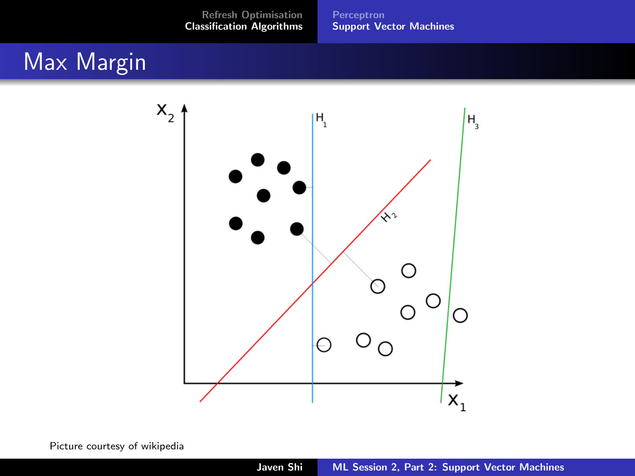[Perceptron](#page-19-0) [Support Vector Machines](#page-21-0)

## <span id="page-21-0"></span>Max Margin



Picture courtesy of wikipedia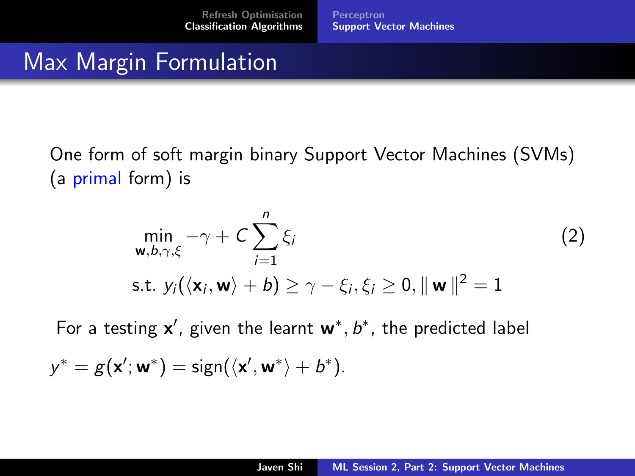[Perceptron](#page-19-0) [Support Vector Machines](#page-21-0)

# Max Margin Formulation

One form of soft margin binary Support Vector Machines (SVMs) (a primal form) is

$$
\min_{\mathbf{w}, b, \gamma, \xi} -\gamma + C \sum_{i=1}^{n} \xi_i
$$
\n
$$
\text{s.t. } y_i(\langle \mathbf{x}_i, \mathbf{w} \rangle + b) \ge \gamma - \xi_i, \xi_i \ge 0, \|\mathbf{w}\|^2 = 1
$$
\n
$$
(2)
$$

For a testing  $x'$ , given the learnt  $w^*$ ,  $b^*$ , the predicted label

$$
y^* = g(\mathbf{x}'; \mathbf{w}^*) = \text{sign}(\langle \mathbf{x}', \mathbf{w}^* \rangle + b^*).
$$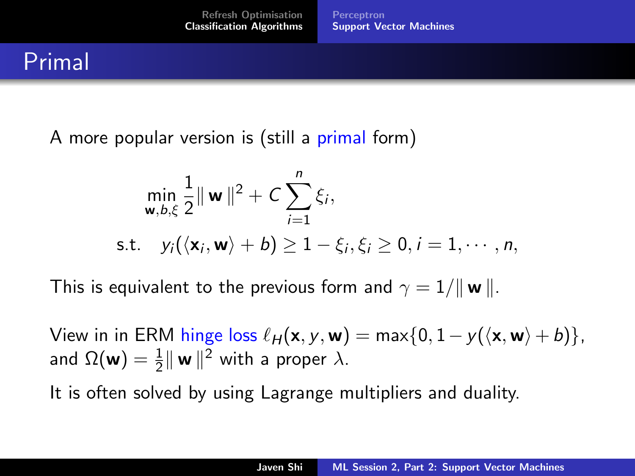# Primal

A more popular version is (still a primal form)

$$
\min_{\mathbf{w},b,\xi} \frac{1}{2} \|\mathbf{w}\|^2 + C \sum_{i=1}^n \xi_i,
$$
  
s.t.  $y_i(\langle \mathbf{x}_i, \mathbf{w} \rangle + b) \ge 1 - \xi_i, \xi_i \ge 0, i = 1, \dots, n,$ 

This is equivalent to the previous form and  $\gamma = 1/\|\mathbf{w}\|$ .

View in in ERM hinge loss  $\ell_H(x, y, w) = \max\{0, 1 - y(\langle x, w \rangle + b)\},\$ and  $\Omega(\boldsymbol{\mathsf{w}}) = \frac{1}{2} \|\boldsymbol{\mathsf{w}}\|^2$  with a proper  $\lambda$ .

It is often solved by using Lagrange multipliers and duality.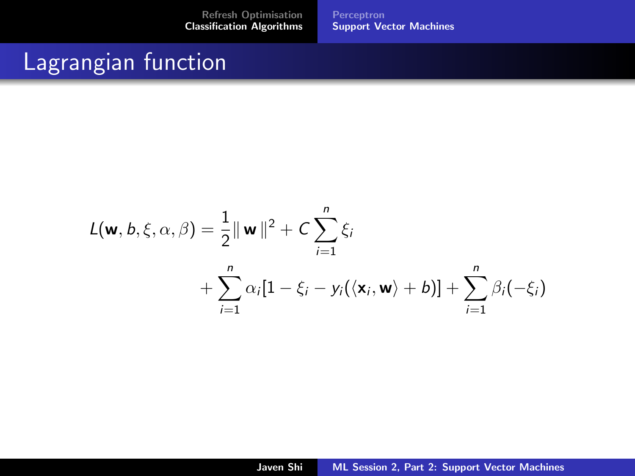[Perceptron](#page-19-0) [Support Vector Machines](#page-21-0)

## Lagrangian function

$$
L(\mathbf{w}, b, \xi, \alpha, \beta) = \frac{1}{2} ||\mathbf{w}||^2 + C \sum_{i=1}^n \xi_i
$$
  
+ 
$$
\sum_{i=1}^n \alpha_i [1 - \xi_i - y_i(\langle \mathbf{x}_i, \mathbf{w} \rangle + b)] + \sum_{i=1}^n \beta_i(-\xi_i)
$$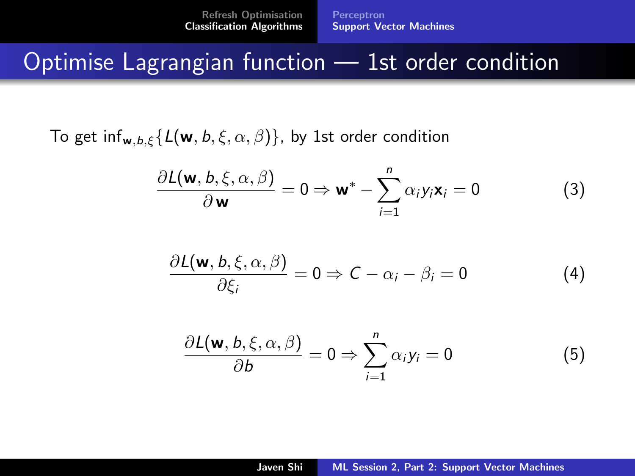[Perceptron](#page-19-0) [Support Vector Machines](#page-21-0)

### Optimise Lagrangian function — 1st order condition

To get inf<sub>w,b,ξ</sub>{ $L(w, b, \xi, \alpha, \beta)$ }, by 1st order condition

<span id="page-25-2"></span>
$$
\frac{\partial L(\mathbf{w}, b, \xi, \alpha, \beta)}{\partial \mathbf{w}} = 0 \Rightarrow \mathbf{w}^* - \sum_{i=1}^n \alpha_i y_i \mathbf{x}_i = 0 \tag{3}
$$

<span id="page-25-0"></span>
$$
\frac{\partial L(\mathbf{w}, b, \xi, \alpha, \beta)}{\partial \xi_i} = 0 \Rightarrow C - \alpha_i - \beta_i = 0 \tag{4}
$$

<span id="page-25-1"></span>
$$
\frac{\partial L(\mathbf{w}, b, \xi, \alpha, \beta)}{\partial b} = 0 \Rightarrow \sum_{i=1}^{n} \alpha_i y_i = 0
$$
 (5)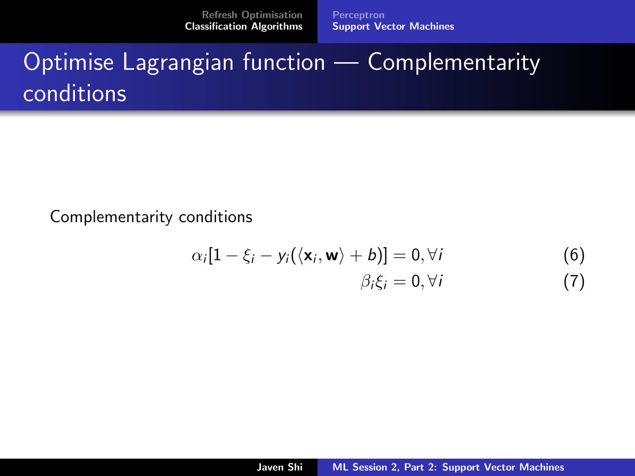[Perceptron](#page-19-0) [Support Vector Machines](#page-21-0)

# Optimise Lagrangian function — Complementarity conditions

Complementarity conditions

<span id="page-26-1"></span><span id="page-26-0"></span>
$$
\alpha_i[1-\xi_i-y_i(\langle \mathbf{x}_i, \mathbf{w}\rangle + b)] = 0, \forall i
$$
\n
$$
\beta_i\xi_i = 0, \forall i
$$
\n(6)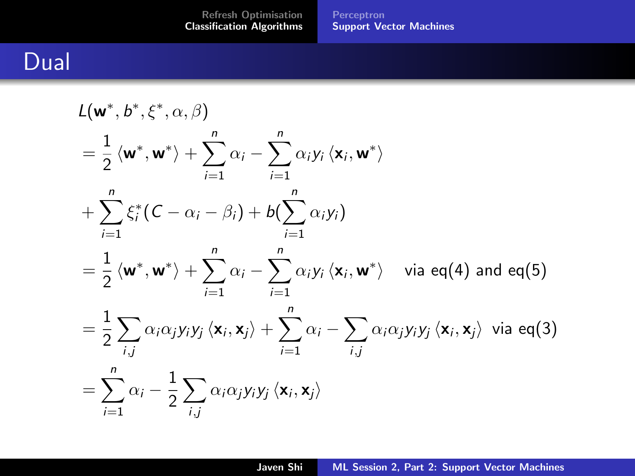[Perceptron](#page-19-0) [Support Vector Machines](#page-21-0)

## Dual

$$
L(\mathbf{w}^*, b^*, \xi^*, \alpha, \beta)
$$
  
=  $\frac{1}{2} \langle \mathbf{w}^*, \mathbf{w}^* \rangle + \sum_{i=1}^n \alpha_i - \sum_{i=1}^n \alpha_i y_i \langle \mathbf{x}_i, \mathbf{w}^* \rangle$   
+  $\sum_{i=1}^n \xi_i^* (C - \alpha_i - \beta_i) + b(\sum_{i=1}^n \alpha_i y_i)$   
=  $\frac{1}{2} \langle \mathbf{w}^*, \mathbf{w}^* \rangle + \sum_{i=1}^n \alpha_i - \sum_{i=1}^n \alpha_i y_i \langle \mathbf{x}_i, \mathbf{w}^* \rangle$  via eq(4) and eq(5)  
=  $\frac{1}{2} \sum_{i,j} \alpha_i \alpha_j y_i y_j \langle \mathbf{x}_i, \mathbf{x}_j \rangle + \sum_{i=1}^n \alpha_i - \sum_{i,j} \alpha_i \alpha_j y_i y_j \langle \mathbf{x}_i, \mathbf{x}_j \rangle$  via eq(3)  
=  $\sum_{i=1}^n \alpha_i - \frac{1}{2} \sum_{i,j} \alpha_i \alpha_j y_i y_j \langle \mathbf{x}_i, \mathbf{x}_j \rangle$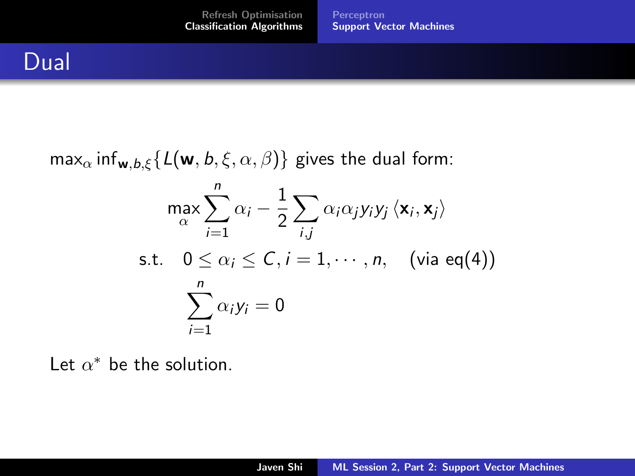$\max_{\alpha} \inf_{\mathbf{w},b,\xi} \{L(\mathbf{w},b,\xi,\alpha,\beta)\}\$ gives the dual form:

$$
\max_{\alpha} \sum_{i=1}^{n} \alpha_i - \frac{1}{2} \sum_{i,j} \alpha_i \alpha_j y_i y_j \langle \mathbf{x}_i, \mathbf{x}_j \rangle
$$
  
s.t.  $0 \le \alpha_i \le C, i = 1, \dots, n$ , (via eq(4))  

$$
\sum_{i=1}^{n} \alpha_i y_i = 0
$$

Let  $\alpha^*$  be the solution.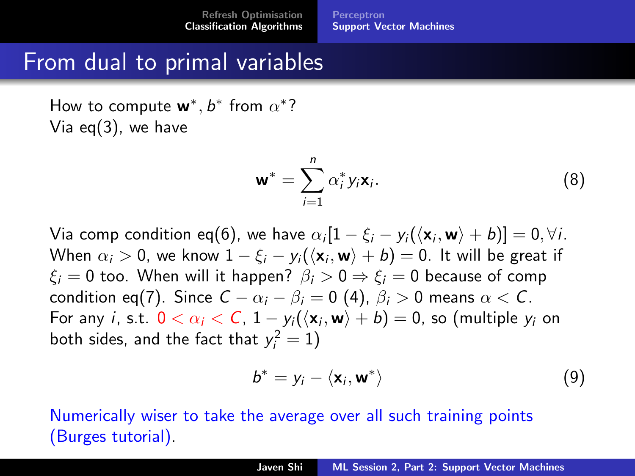#### From dual to primal variables

How to compute  $w^*, b^*$  from  $\alpha^*$ ? Via eq[\(3\)](#page-25-2), we have

$$
\mathbf{w}^* = \sum_{i=1}^n \alpha_i^* y_i \mathbf{x}_i.
$$
 (8)

Via comp condition eq[\(6\)](#page-26-0), we have  $\alpha_i[1-\xi_i-y_i(\langle \mathbf{x}_i,\mathbf{w}\rangle+b)]=0,\forall i.$ When  $\alpha_i > 0$ , we know  $1-\xi_i - y_i(\langle \mathbf{x}_i, \mathbf{w}\rangle + b) = 0.$  It will be great if  $\xi_i = 0$  too. When will it happen?  $\beta_i > 0 \Rightarrow \xi_i = 0$  because of comp condition eq[\(7\)](#page-26-1). Since  $C - \alpha_i - \beta_i = 0$  [\(4\)](#page-25-0),  $\beta_i > 0$  means  $\alpha < C$ . For any  $i$ , s.t.  $0 < \alpha_i < C$ ,  $1 - y_i(\langle \mathbf{x}_i, \mathbf{w}\rangle + b) = 0$ , so (multiple  $y_i$  on both sides, and the fact that  $y_i^2 = 1$ )

$$
b^* = y_i - \langle \mathbf{x}_i, \mathbf{w}^* \rangle \tag{9}
$$

Numerically wiser to take the average over all such training points (Burges tutorial).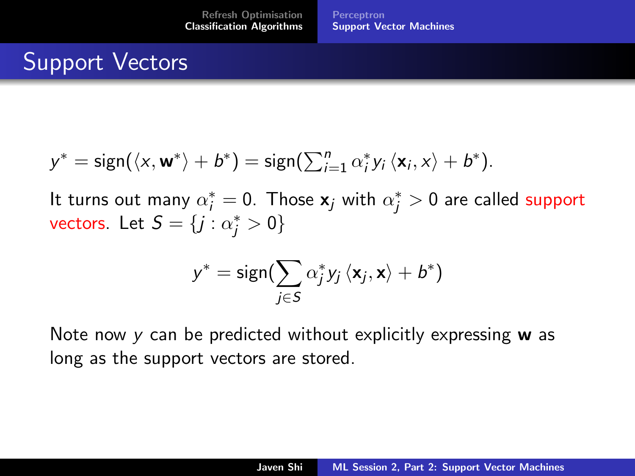# Support Vectors

$$
y^* = \text{sign}(\langle x, \mathbf{w}^* \rangle + b^*) = \text{sign}(\sum_{i=1}^n \alpha_i^* y_i \langle \mathbf{x}_i, x \rangle + b^*).
$$

It turns out many  $\alpha^*_i = 0$ . Those  $\mathbf{x}_j$  with  $\alpha^*_j > 0$  are called support vectors. Let  $S = \{j : \alpha_j^* > 0\}$ 

$$
y^* = \text{sign}(\sum_{j \in \mathcal{S}} \alpha^*_j y_j \left\langle \mathbf{x}_j, \mathbf{x} \right\rangle + b^*)
$$

Note now  $y$  can be predicted without explicitly expressing  $w$  as long as the support vectors are stored.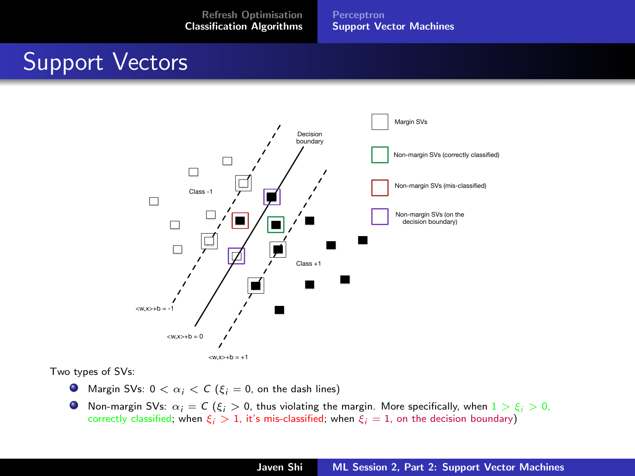[Perceptron](#page-19-0) [Support Vector Machines](#page-21-0)

## Support Vectors



Two types of SVs:

- **O** Margin SVs:  $0 < \alpha_i < C$  ( $\xi_i = 0$ , on the dash lines)
- **Non-margin SVs:**  $\alpha_i = C$  ( $\xi_i > 0$ , thus violating the margin. More specifically, when  $1 > \xi_i > 0$ , correctly classified; when  $\xi_i > 1$ , it's mis-classified; when  $\xi_i = 1$ , on the decision boundary)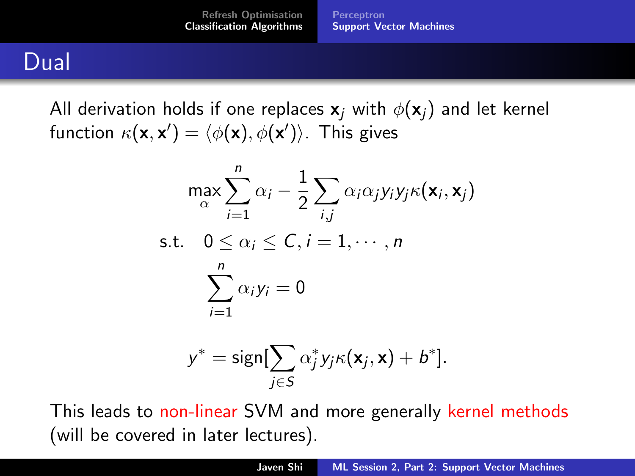[Refresh Optimisation](#page-2-0) [Classification Algorithms](#page-19-0) [Perceptron](#page-19-0) [Support Vector Machines](#page-21-0)

### Dual

All derivation holds if one replaces  $x_i$  with  $\phi(x_i)$  and let kernel function  $\kappa(\mathbf{x},\mathbf{x}')=\langle\phi(\mathbf{x}),\phi(\mathbf{x}')\rangle.$  This gives

$$
\max_{\alpha} \sum_{i=1}^{n} \alpha_i - \frac{1}{2} \sum_{i,j} \alpha_i \alpha_j y_i y_j \kappa(\mathbf{x}_i, \mathbf{x}_j)
$$
  
s.t.  $0 \le \alpha_i \le C, i = 1, \dots, n$   

$$
\sum_{i=1}^{n} \alpha_i y_i = 0
$$

$$
y^* = \text{sign}[\sum_{j \in S} \alpha_j^* y_j \kappa(\mathbf{x}_j, \mathbf{x}) + b^*].
$$

This leads to non-linear SVM and more generally kernel methods (will be covered in later lectures).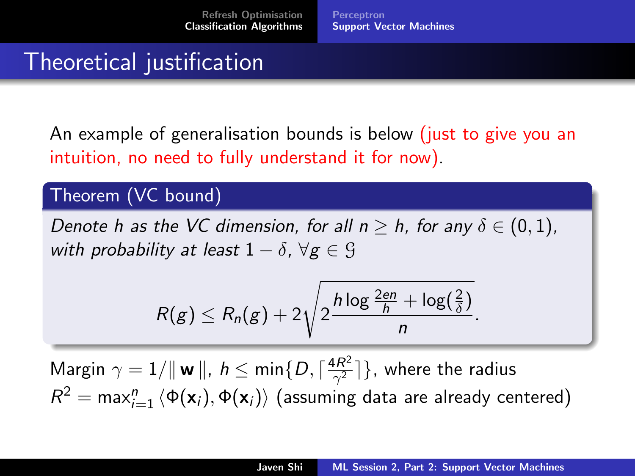[Perceptron](#page-19-0) [Support Vector Machines](#page-21-0)

# Theoretical justification

An example of generalisation bounds is below (just to give you an intuition, no need to fully understand it for now).

#### Theorem (VC bound)

Denote h as the VC dimension, for all  $n > h$ , for any  $\delta \in (0, 1)$ , with probability at least  $1 - \delta$ ,  $\forall g \in \mathcal{G}$ 

$$
R(g) \leq R_n(g) + 2\sqrt{2\frac{h\log\frac{2en}{h} + \log(\frac{2}{\delta})}{n}}.
$$

Margin  $\gamma = 1/\|\mathbf{w}\|$ ,  $h \leq \min\{D, \lceil \frac{4R^2}{\gamma^2}\rceil\}$  $\left\{\frac{\mathbf{k}\mathbf{K}^2}{\gamma^2}\right\}$ , where the radius  $R^2 = \mathsf{max}_{i=1}^n \braket{\Phi(\mathbf{x}_i), \Phi(\mathbf{x}_i)}$  (assuming data are already centered)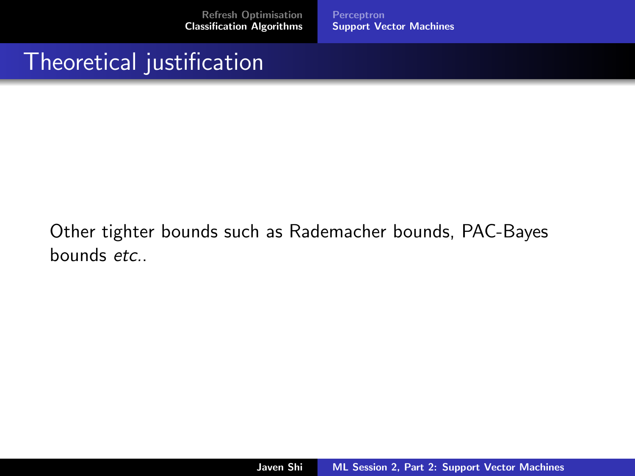[Perceptron](#page-19-0) [Support Vector Machines](#page-21-0)

### Theoretical justification

#### Other tighter bounds such as Rademacher bounds, PAC-Bayes bounds *etc*.